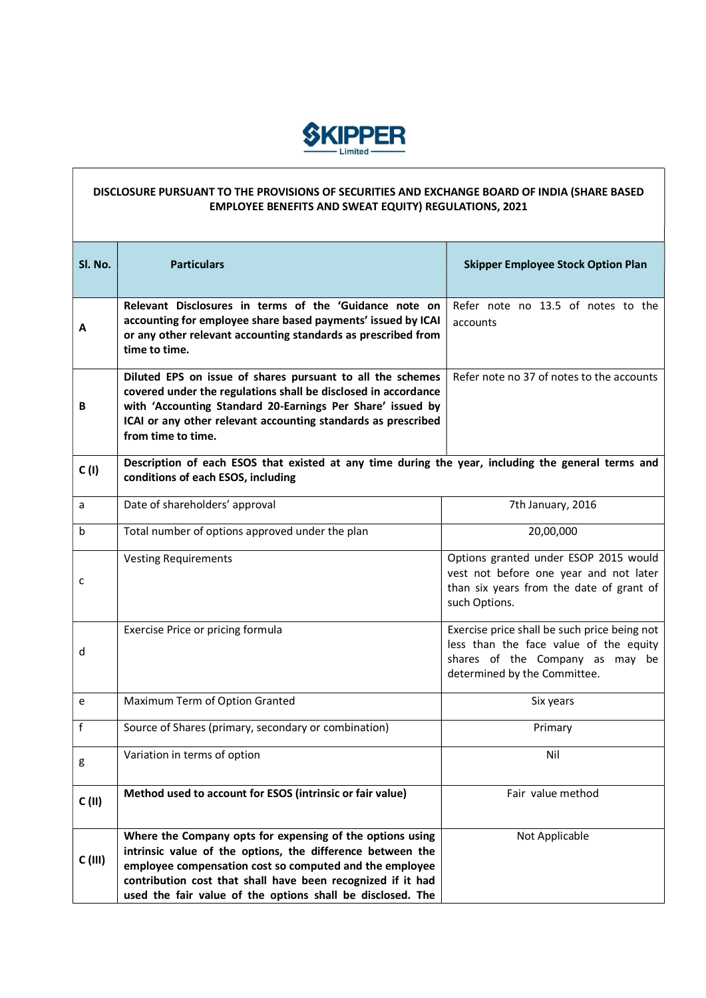

## DISCLOSURE PURSUANT TO THE PROVISIONS OF SECURITIES AND EXCHANGE BOARD OF INDIA (SHARE BASED EMPLOYEE BENEFITS AND SWEAT EQUITY) REGULATIONS, 2021

| Sl. No. | <b>Particulars</b>                                                                                                                                                                                                                                                                                              | <b>Skipper Employee Stock Option Plan</b>                                                                                                                 |  |
|---------|-----------------------------------------------------------------------------------------------------------------------------------------------------------------------------------------------------------------------------------------------------------------------------------------------------------------|-----------------------------------------------------------------------------------------------------------------------------------------------------------|--|
|         |                                                                                                                                                                                                                                                                                                                 |                                                                                                                                                           |  |
| A       | Relevant Disclosures in terms of the 'Guidance note on<br>accounting for employee share based payments' issued by ICAI<br>or any other relevant accounting standards as prescribed from<br>time to time.                                                                                                        | Refer note no 13.5 of notes to the<br>accounts                                                                                                            |  |
| В       | Diluted EPS on issue of shares pursuant to all the schemes<br>covered under the regulations shall be disclosed in accordance<br>with 'Accounting Standard 20-Earnings Per Share' issued by<br>ICAI or any other relevant accounting standards as prescribed<br>from time to time.                               | Refer note no 37 of notes to the accounts                                                                                                                 |  |
| C(1)    | Description of each ESOS that existed at any time during the year, including the general terms and<br>conditions of each ESOS, including                                                                                                                                                                        |                                                                                                                                                           |  |
| a       | Date of shareholders' approval                                                                                                                                                                                                                                                                                  | 7th January, 2016                                                                                                                                         |  |
| b       | Total number of options approved under the plan                                                                                                                                                                                                                                                                 | 20,00,000                                                                                                                                                 |  |
| c       | <b>Vesting Requirements</b>                                                                                                                                                                                                                                                                                     | Options granted under ESOP 2015 would<br>vest not before one year and not later<br>than six years from the date of grant of<br>such Options.              |  |
| d       | Exercise Price or pricing formula                                                                                                                                                                                                                                                                               | Exercise price shall be such price being not<br>less than the face value of the equity<br>shares of the Company as may be<br>determined by the Committee. |  |
| e       | Maximum Term of Option Granted                                                                                                                                                                                                                                                                                  | Six years                                                                                                                                                 |  |
| f       | Source of Shares (primary, secondary or combination)                                                                                                                                                                                                                                                            | Primary                                                                                                                                                   |  |
| g       | Variation in terms of option                                                                                                                                                                                                                                                                                    | Nil                                                                                                                                                       |  |
| C(II)   | Method used to account for ESOS (intrinsic or fair value)                                                                                                                                                                                                                                                       | Fair value method                                                                                                                                         |  |
| C(III)  | Where the Company opts for expensing of the options using<br>intrinsic value of the options, the difference between the<br>employee compensation cost so computed and the employee<br>contribution cost that shall have been recognized if it had<br>used the fair value of the options shall be disclosed. The | Not Applicable                                                                                                                                            |  |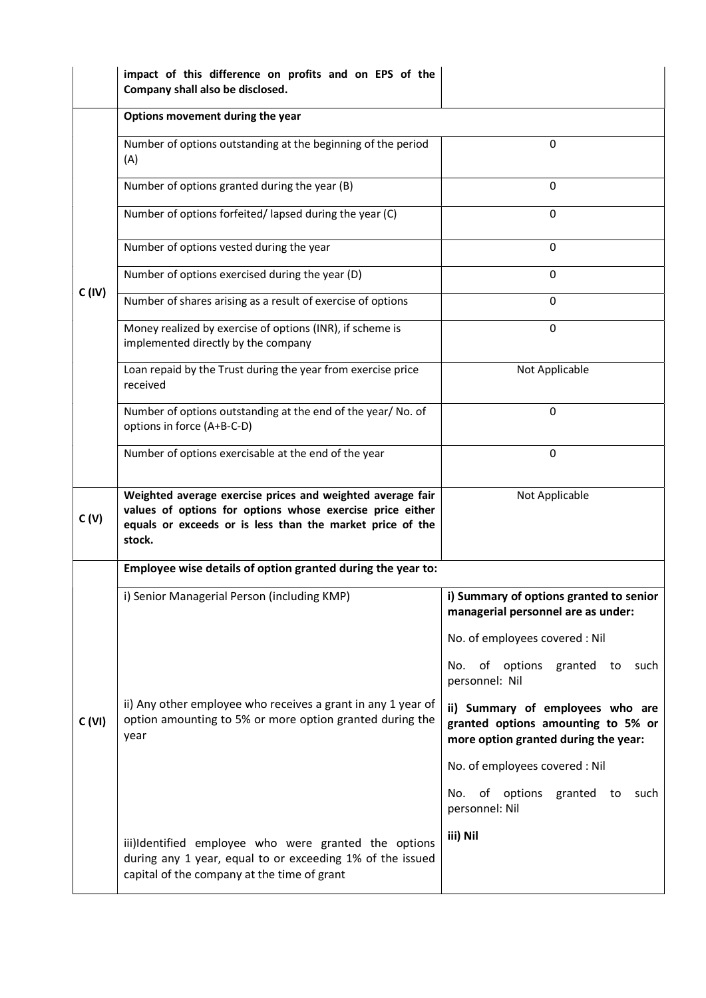|                                                             | impact of this difference on profits and on EPS of the<br>Company shall also be disclosed.                                                                                                     |                                                                                                                |  |
|-------------------------------------------------------------|------------------------------------------------------------------------------------------------------------------------------------------------------------------------------------------------|----------------------------------------------------------------------------------------------------------------|--|
|                                                             | Options movement during the year                                                                                                                                                               |                                                                                                                |  |
|                                                             | Number of options outstanding at the beginning of the period<br>(A)                                                                                                                            | 0                                                                                                              |  |
|                                                             | Number of options granted during the year (B)                                                                                                                                                  | 0                                                                                                              |  |
|                                                             | Number of options forfeited/lapsed during the year (C)                                                                                                                                         | 0                                                                                                              |  |
|                                                             | Number of options vested during the year                                                                                                                                                       | 0                                                                                                              |  |
|                                                             | Number of options exercised during the year (D)                                                                                                                                                | $\Omega$                                                                                                       |  |
| C (IV)                                                      | Number of shares arising as a result of exercise of options                                                                                                                                    | 0                                                                                                              |  |
|                                                             | Money realized by exercise of options (INR), if scheme is<br>implemented directly by the company                                                                                               | 0                                                                                                              |  |
|                                                             | Loan repaid by the Trust during the year from exercise price<br>received                                                                                                                       | Not Applicable                                                                                                 |  |
|                                                             | Number of options outstanding at the end of the year/ No. of<br>options in force (A+B-C-D)                                                                                                     | 0                                                                                                              |  |
|                                                             | Number of options exercisable at the end of the year                                                                                                                                           | $\Omega$                                                                                                       |  |
| C(V)                                                        | Weighted average exercise prices and weighted average fair<br>values of options for options whose exercise price either<br>equals or exceeds or is less than the market price of the<br>stock. | Not Applicable                                                                                                 |  |
| Employee wise details of option granted during the year to: |                                                                                                                                                                                                |                                                                                                                |  |
|                                                             | i) Senior Managerial Person (including KMP)                                                                                                                                                    | i) Summary of options granted to senior<br>managerial personnel are as under:                                  |  |
|                                                             |                                                                                                                                                                                                | No. of employees covered : Nil                                                                                 |  |
|                                                             |                                                                                                                                                                                                | of options granted to<br>No.<br>such<br>personnel: Nil                                                         |  |
| C (VI)                                                      | ii) Any other employee who receives a grant in any 1 year of<br>option amounting to 5% or more option granted during the<br>year                                                               | ii) Summary of employees who are<br>granted options amounting to 5% or<br>more option granted during the year: |  |
|                                                             |                                                                                                                                                                                                | No. of employees covered : Nil                                                                                 |  |
|                                                             |                                                                                                                                                                                                | of options<br>No.<br>granted to<br>such<br>personnel: Nil                                                      |  |
|                                                             | iii)Identified employee who were granted the options<br>during any 1 year, equal to or exceeding 1% of the issued<br>capital of the company at the time of grant                               | iii) Nil                                                                                                       |  |